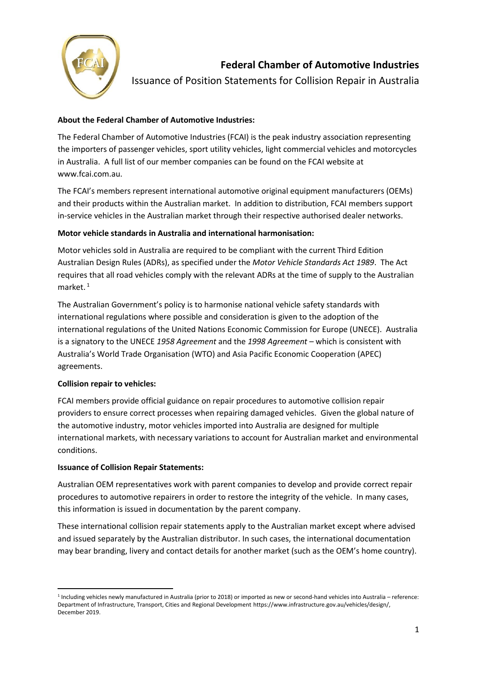

**Federal Chamber of Automotive Industries**

Issuance of Position Statements for Collision Repair in Australia

# **About the Federal Chamber of Automotive Industries:**

The Federal Chamber of Automotive Industries (FCAI) is the peak industry association representing the importers of passenger vehicles, sport utility vehicles, light commercial vehicles and motorcycles in Australia. A full list of our member companies can be found on the FCAI website at www.fcai.com.au.

The FCAI's members represent international automotive original equipment manufacturers (OEMs) and their products within the Australian market. In addition to distribution, FCAI members support in-service vehicles in the Australian market through their respective authorised dealer networks.

## **Motor vehicle standards in Australia and international harmonisation:**

Motor vehicles sold in Australia are required to be compliant with the current Third Edition Australian Design Rules (ADRs), as specified under the *Motor Vehicle Standards Act 1989*. The Act requires that all road vehicles comply with the relevant ADRs at the time of supply to the Australian market.<sup>1</sup>

The Australian Government's policy is to harmonise national vehicle safety standards with international regulations where possible and consideration is given to the adoption of the international regulations of the United Nations Economic Commission for Europe (UNECE). Australia is a signatory to the UNECE *1958 Agreement* and the *1998 Agreement* – which is consistent with Australia's World Trade Organisation (WTO) and Asia Pacific Economic Cooperation (APEC) agreements.

### **Collision repair to vehicles:**

FCAI members provide official guidance on repair procedures to automotive collision repair providers to ensure correct processes when repairing damaged vehicles. Given the global nature of the automotive industry, motor vehicles imported into Australia are designed for multiple international markets, with necessary variations to account for Australian market and environmental conditions.

### **Issuance of Collision Repair Statements:**

Australian OEM representatives work with parent companies to develop and provide correct repair procedures to automotive repairers in order to restore the integrity of the vehicle. In many cases, this information is issued in documentation by the parent company.

These international collision repair statements apply to the Australian market except where advised and issued separately by the Australian distributor. In such cases, the international documentation may bear branding, livery and contact details for another market (such as the OEM's home country).

<sup>1</sup> Including vehicles newly manufactured in Australia (prior to 2018) or imported as new or second-hand vehicles into Australia – reference: Department of Infrastructure, Transport, Cities and Regional Development https://www.infrastructure.gov.au/vehicles/design/, December 2019.